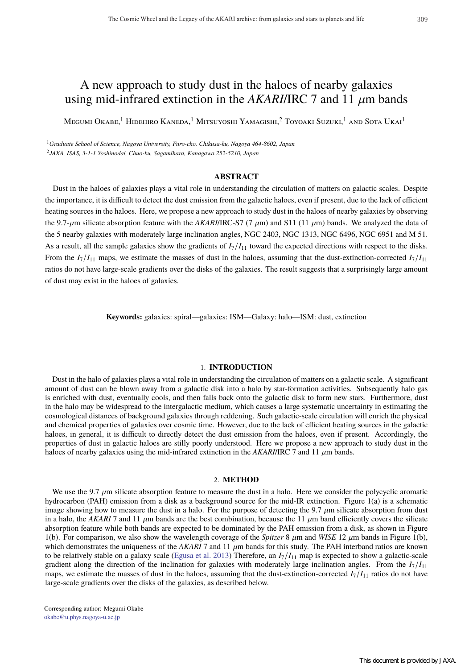# A new approach to study dust in the haloes of nearby galaxies using mid-infrared extinction in the  $AKARI/IRC$  7 and 11  $\mu$ m bands

Megumi Okabe,<sup>1</sup> Hidehiro Kaneda,<sup>1</sup> Mitsuyoshi Yamagishi,<sup>2</sup> Toyoaki Suzuki,<sup>1</sup> and Sota Ukai<sup>1</sup>

<sup>1</sup>*Graduate School of Science, Nagoya University, Furo-cho, Chikusa-ku, Nagoya 464-8602, Japan* <sup>2</sup>*JAXA, ISAS, 3-1-1 Yoshinodai, Chuo-ku, Sagamihara, Kanagawa 252-5210, Japan*

# **ABSTRACT**

Dust in the haloes of galaxies plays a vital role in understanding the circulation of matters on galactic scales. Despite the importance, it is difficult to detect the dust emission from the galactic haloes, even if present, due to the lack of efficient heating sources in the haloes. Here, we propose a new approach to study dust in the haloes of nearby galaxies by observing the 9.7- $\mu$ m silicate absorption feature with the *AKARI*/IRC-S7 (7  $\mu$ m) and S11 (11  $\mu$ m) bands. We analyzed the data of the 5 nearby galaxies with moderately large inclination angles, NGC 2403, NGC 1313, NGC 6496, NGC 6951 and M 51. As a result, all the sample galaxies show the gradients of  $I_7/I_{11}$  toward the expected directions with respect to the disks. From the  $I_7/I_{11}$  maps, we estimate the masses of dust in the haloes, assuming that the dust-extinction-corrected  $I_7/I_{11}$ ratios do not have large-scale gradients over the disks of the galaxies. The result suggests that a surprisingly large amount of dust may exist in the haloes of galaxies.

**Keywords:** galaxies: spiral—galaxies: ISM—Galaxy: halo—ISM: dust, extinction

## 1. **INTRODUCTION**

Dust in the halo of galaxies plays a vital role in understanding the circulation of matters on a galactic scale. A significant amount of dust can be blown away from a galactic disk into a halo by star-formation activities. Subsequently halo gas is enriched with dust, eventually cools, and then falls back onto the galactic disk to form new stars. Furthermore, dust in the halo may be widespread to the intergalactic medium, which causes a large systematic uncertainty in estimating the cosmological distances of background galaxies through reddening. Such galactic-scale circulation will enrich the physical and chemical properties of galaxies over cosmic time. However, due to the lack of efficient heating sources in the galactic haloes, in general, it is difficult to directly detect the dust emission from the haloes, even if present. Accordingly, the properties of dust in galactic haloes are stilly poorly understood. Here we propose a new approach to study dust in the haloes of nearby galaxies using the mid-infrared extinction in the *AKARI*/IRC 7 and 11  $\mu$ m bands.

#### 2. **METHOD**

We use the 9.7  $\mu$ m silicate absorption feature to measure the dust in a halo. Here we consider the polycyclic aromatic hydrocarbon (PAH) emission from a disk as a background source for the mid-IR extinction. Figure 1(a) is a schematic image showing how to measure the dust in a halo. For the purpose of detecting the 9.7  $\mu$ m silicate absorption from dust in a halo, the *AKARI* 7 and 11  $\mu$ m bands are the best combination, because the 11  $\mu$ m band efficiently covers the silicate absorption feature while both bands are expected to be dominated by the PAH emission from a disk, as shown in Figure 1(b). For comparison, we also show the wavelength coverage of the *Spitzer* 8  $\mu$ m and *WISE* 12  $\mu$ m bands in Figure 1(b), which demonstrates the uniqueness of the *AKARI* 7 and 11  $\mu$ m bands for this study. The PAH interband ratios are known to be relatively stable on a galaxy scale (Egusa et al. 2013) Therefore, an  $I_7/I_{11}$  map is expected to show a galactic-scale gradient along the direction of the inclination for galaxies with moderately large inclination angles. From the  $I_7/I_{11}$ maps, we estimate the masses of dust in the haloes, assuming that the dust-extinction-corrected  $I_7/I_{11}$  ratios do not have large-scale gradients over the disks of the galaxies, as described below.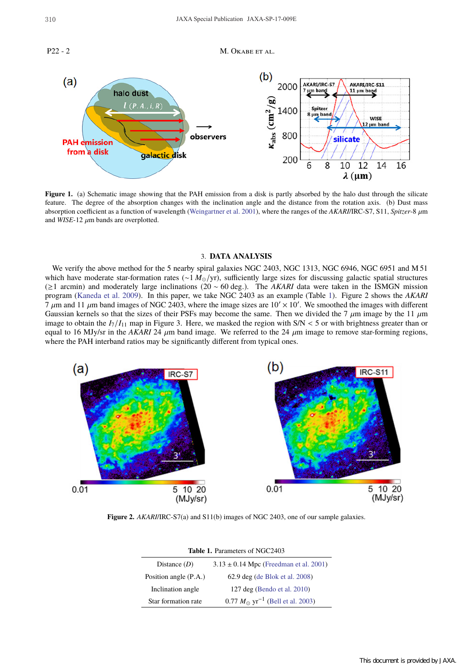P22 - 2 M. OKABE ET AL.



**Figure 1.** (a) Schematic image showing that the PAH emission from a disk is partly absorbed by the halo dust through the silicate feature. The degree of the absorption changes with the inclination angle and the distance from the rotation axis. (b) Dust mass absorption coefficient as a function of wavelength (Weingartner et al. 2001), where the ranges of the *AKARI*/IRC-S7, S11, *Spitzer*-8 µm and  $WISE-12 \mu m$  bands are overplotted.

#### 3. **DATA ANALYSIS**

We verify the above method for the 5 nearby spiral galaxies NGC 2403, NGC 1313, NGC 6946, NGC 6951 and M 51 which have moderate star-formation rates (∼1 *M*<sub>⊙</sub>/yr), sufficiently large sizes for discussing galactic spatial structures (≥1 arcmin) and moderately large inclinations (20 ∼ 60 deg.). The *AKARI* data were taken in the ISMGN mission program (Kaneda et al. 2009). In this paper, we take NGC 2403 as an example (Table 1). Figure 2 shows the *AKARI*  $7 \mu$ m and 11  $\mu$ m band images of NGC 2403, where the image sizes are 10'  $\times$  10'. We smoothed the images with different Gaussian kernels so that the sizes of their PSFs may become the same. Then we divided the 7  $\mu$ m image by the 11  $\mu$ m image to obtain the  $I_7/I_{11}$  map in Figure 3. Here, we masked the region with  $S/N < 5$  or with brightness greater than or equal to 16 MJy/sr in the *AKARI* 24  $\mu$ m band image. We referred to the 24  $\mu$ m image to remove star-forming regions, where the PAH interband ratios may be significantly different from typical ones.



**Figure 2.** *AKARI*/IRC-S7(a) and S11(b) images of NGC 2403, one of our sample galaxies.

| <b>Table 1. Parameters of NGC2403</b> |                                                     |
|---------------------------------------|-----------------------------------------------------|
| Distance $(D)$                        | $3.13 \pm 0.14$ Mpc (Freedman et al. 2001)          |
| Position angle (P.A.)                 | 62.9 deg (de Blok et al. 2008)                      |
| Inclination angle                     | 127 deg (Bendo et al. 2010)                         |
| Star formation rate                   | $0.77 M_{\odot} \text{ yr}^{-1}$ (Bell et al. 2003) |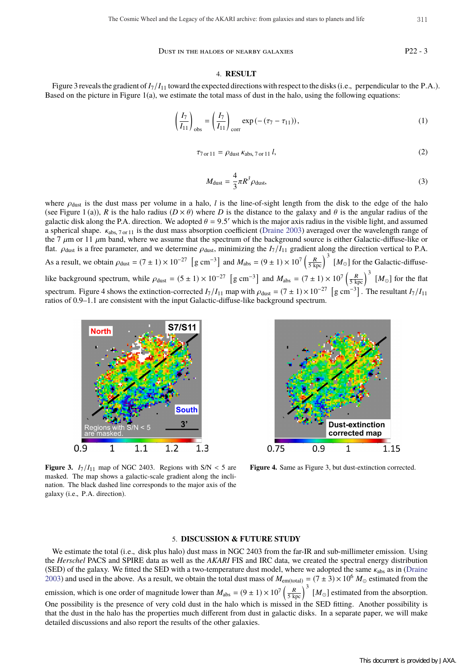Dust in the haloes of nearby galaxies P22 - 3

#### 4. **RESULT**

Figure 3 reveals the gradient of  $I_7/I_{11}$  toward the expected directions with respect to the disks (i.e., perpendicular to the P.A.). Based on the picture in Figure  $1(a)$ , we estimate the total mass of dust in the halo, using the following equations:

$$
\left(\frac{I_7}{I_{11}}\right)_{\text{obs}} = \left(\frac{I_7}{I_{11}}\right)_{\text{corr}} \exp\left(-\left(\tau_7 - \tau_{11}\right)\right),\tag{1}
$$

$$
\tau_{7 \text{ or } 11} = \rho_{\text{dust}} \, \kappa_{\text{abs}, \, 7 \text{ or } 11} \, l,\tag{2}
$$

$$
M_{\text{dust}} = \frac{4}{3}\pi R^3 \rho_{\text{dust}},\tag{3}
$$

where  $\rho_{\text{dust}}$  is the dust mass per volume in a halo, *l* is the line-of-sight length from the disk to the edge of the halo (see Figure 1 (a)), *R* is the halo radius ( $D \times \theta$ ) where *D* is the distance to the galaxy and  $\theta$  is the angular radius of the galactic disk along the P.A. direction. We adopted  $\theta = 9.5'$  which is the major axis radius in the visible light, and assumed a spherical shape. κabs, 7 or 11 is the dust mass absorption coefficient (Draine 2003) averaged over the wavelength range of the 7  $\mu$ m or 11  $\mu$ m band, where we assume that the spectrum of the background source is either Galactic-diffuse-like or flat.  $\rho_{\text{dust}}$  is a free parameter, and we determine  $\rho_{\text{dust}}$ , minimizing the  $I_7/I_{11}$  gradient along the direction vertical to P.A. As a result, we obtain  $\rho_{\text{dust}} = (7 \pm 1) \times 10^{-27}$  [g cm<sup>-3</sup>] and  $M_{\text{abs}} = (9 \pm 1) \times 10^7 \left(\frac{R}{5 \text{ kpc}}\right)^3$  [ $M_{\odot}$ ] for the Galactic-diffuselike background spectrum, while  $\rho_{\text{dust}} = (5 \pm 1) \times 10^{-27}$  [g cm<sup>-3</sup>] and  $M_{\text{abs}} = (7 \pm 1) \times 10^7 \left(\frac{R}{5 \text{ kpc}}\right)^3$  [ $M_{\odot}$ ] for the flat spectrum. Figure 4 shows the extinction-corrected  $I_7/I_{11}$  map with  $\rho_{\text{dust}} = (7 \pm 1) \times 10^{-27}$  [g cm<sup>-3</sup>]. The resultant  $I_7/I_{11}$ ratios of 0.9–1.1 are consistent with the input Galactic-diffuse-like background spectrum.



**Figure 3.**  $I_7/I_{11}$  map of NGC 2403. Regions with  $S/N < 5$  are masked. The map shows a galactic-scale gradient along the inclination. The black dashed line corresponds to the major axis of the galaxy (i.e., P.A. direction).



**Figure 4.** Same as Figure 3, but dust-extinction corrected.

# 5. **DISCUSSION & FUTURE STUDY**

We estimate the total (i.e., disk plus halo) dust mass in NGC 2403 from the far-IR and sub-millimeter emission. Using the *Herschel* PACS and SPIRE data as well as the *AKARI* FIS and IRC data, we created the spectral energy distribution (SED) of the galaxy. We fitted the SED with a two-temperature dust model, where we adopted the same  $\kappa_{\text{abs}}$  as in (Draine 2003) and used in the above. As a result, we obtain the total dust mass of  $M_{\text{em (total)}} = (7 \pm 3) \times 10^6$   $M_{\odot}$  estimated from the emission, which is one order of magnitude lower than  $M_{\text{abs}} = (9 \pm 1) \times 10^7 \left(\frac{R}{5 \text{ kpc}}\right)^3 \left[M_{\odot}\right]$  estimated from the absorption. One possibility is the presence of very cold dust in the halo which is missed in the SED fitting. Another possibility is that the dust in the halo has the properties much different from dust in galactic disks. In a separate paper, we will make detailed discussions and also report the results of the other galaxies.